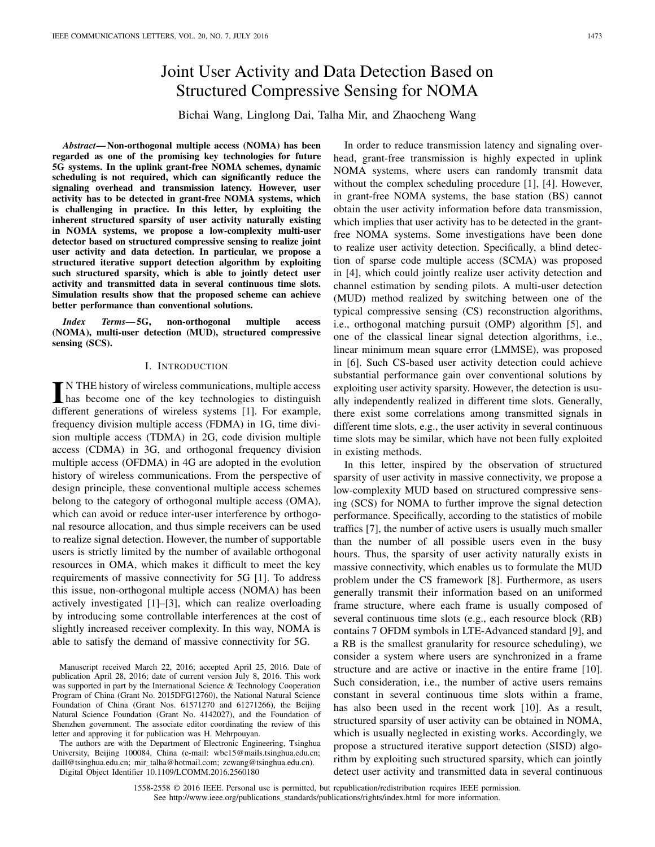# Joint User Activity and Data Detection Based on Structured Compressive Sensing for NOMA

Bichai Wang, Linglong Dai, Talha Mir, and Zhaocheng Wang

*Abstract***— Non-orthogonal multiple access (NOMA) has been regarded as one of the promising key technologies for future 5G systems. In the uplink grant-free NOMA schemes, dynamic scheduling is not required, which can significantly reduce the signaling overhead and transmission latency. However, user activity has to be detected in grant-free NOMA systems, which is challenging in practice. In this letter, by exploiting the inherent structured sparsity of user activity naturally existing in NOMA systems, we propose a low-complexity multi-user detector based on structured compressive sensing to realize joint user activity and data detection. In particular, we propose a structured iterative support detection algorithm by exploiting such structured sparsity, which is able to jointly detect user activity and transmitted data in several continuous time slots. Simulation results show that the proposed scheme can achieve better performance than conventional solutions.**

*Index Terms***— 5G, non-orthogonal multiple access (NOMA), multi-user detection (MUD), structured compressive sensing (SCS).**

### I. INTRODUCTION

IN THE history of wireless communications, multiple access<br>has become one of the key technologies to distinguish<br> $\frac{15}{100}$ N THE history of wireless communications, multiple access different generations of wireless systems [1]. For example, frequency division multiple access (FDMA) in 1G, time division multiple access (TDMA) in 2G, code division multiple access (CDMA) in 3G, and orthogonal frequency division multiple access (OFDMA) in 4G are adopted in the evolution history of wireless communications. From the perspective of design principle, these conventional multiple access schemes belong to the category of orthogonal multiple access (OMA), which can avoid or reduce inter-user interference by orthogonal resource allocation, and thus simple receivers can be used to realize signal detection. However, the number of supportable users is strictly limited by the number of available orthogonal resources in OMA, which makes it difficult to meet the key requirements of massive connectivity for 5G [1]. To address this issue, non-orthogonal multiple access (NOMA) has been actively investigated [1]–[3], which can realize overloading by introducing some controllable interferences at the cost of slightly increased receiver complexity. In this way, NOMA is able to satisfy the demand of massive connectivity for 5G.

The authors are with the Department of Electronic Engineering, Tsinghua University, Beijing 100084, China (e-mail: wbc15@mails.tsinghua.edu.cn; daill@tsinghua.edu.cn; mir\_talha@hotmail.com; zcwang@tsinghua.edu.cn). Digital Object Identifier 10.1109/LCOMM.2016.2560180

In order to reduce transmission latency and signaling overhead, grant-free transmission is highly expected in uplink NOMA systems, where users can randomly transmit data without the complex scheduling procedure [1], [4]. However, in grant-free NOMA systems, the base station (BS) cannot obtain the user activity information before data transmission, which implies that user activity has to be detected in the grantfree NOMA systems. Some investigations have been done to realize user activity detection. Specifically, a blind detection of sparse code multiple access (SCMA) was proposed in [4], which could jointly realize user activity detection and channel estimation by sending pilots. A multi-user detection (MUD) method realized by switching between one of the typical compressive sensing (CS) reconstruction algorithms, i.e., orthogonal matching pursuit (OMP) algorithm [5], and one of the classical linear signal detection algorithms, i.e., linear minimum mean square error (LMMSE), was proposed in [6]. Such CS-based user activity detection could achieve substantial performance gain over conventional solutions by exploiting user activity sparsity. However, the detection is usually independently realized in different time slots. Generally, there exist some correlations among transmitted signals in different time slots, e.g., the user activity in several continuous time slots may be similar, which have not been fully exploited in existing methods.

In this letter, inspired by the observation of structured sparsity of user activity in massive connectivity, we propose a low-complexity MUD based on structured compressive sensing (SCS) for NOMA to further improve the signal detection performance. Specifically, according to the statistics of mobile traffics [7], the number of active users is usually much smaller than the number of all possible users even in the busy hours. Thus, the sparsity of user activity naturally exists in massive connectivity, which enables us to formulate the MUD problem under the CS framework [8]. Furthermore, as users generally transmit their information based on an uniformed frame structure, where each frame is usually composed of several continuous time slots (e.g., each resource block (RB) contains 7 OFDM symbols in LTE-Advanced standard [9], and a RB is the smallest granularity for resource scheduling), we consider a system where users are synchronized in a frame structure and are active or inactive in the entire frame [10]. Such consideration, i.e., the number of active users remains constant in several continuous time slots within a frame, has also been used in the recent work [10]. As a result, structured sparsity of user activity can be obtained in NOMA, which is usually neglected in existing works. Accordingly, we propose a structured iterative support detection (SISD) algorithm by exploiting such structured sparsity, which can jointly detect user activity and transmitted data in several continuous

1558-2558 © 2016 IEEE. Personal use is permitted, but republication/redistribution requires IEEE permission. See http://www.ieee.org/publications\_standards/publications/rights/index.html for more information.

Manuscript received March 22, 2016; accepted April 25, 2016. Date of publication April 28, 2016; date of current version July 8, 2016. This work was supported in part by the International Science & Technology Cooperation Program of China (Grant No. 2015DFG12760), the National Natural Science Foundation of China (Grant Nos. 61571270 and 61271266), the Beijing Natural Science Foundation (Grant No. 4142027), and the Foundation of Shenzhen government. The associate editor coordinating the review of this letter and approving it for publication was H. Mehrpouyan.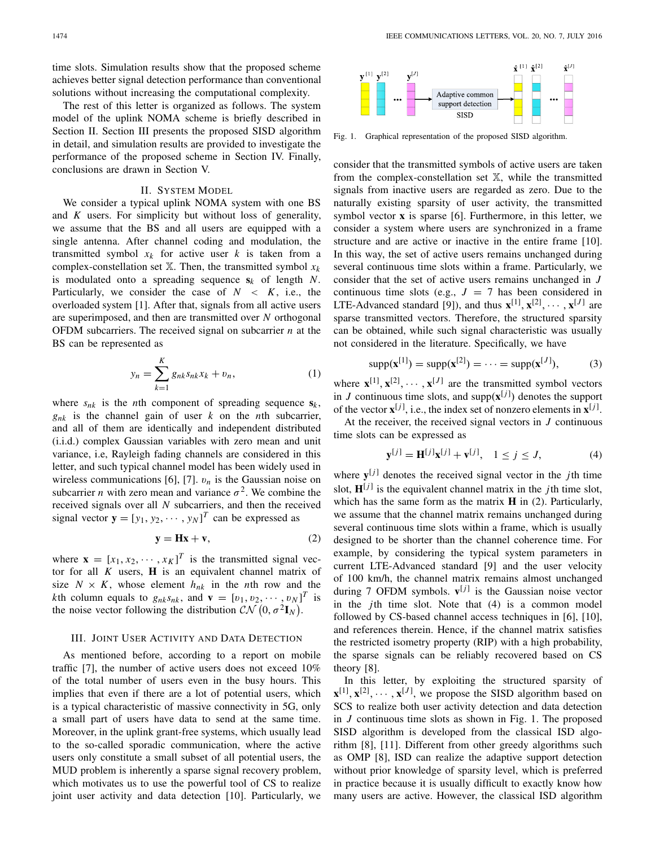time slots. Simulation results show that the proposed scheme achieves better signal detection performance than conventional solutions without increasing the computational complexity.

The rest of this letter is organized as follows. The system model of the uplink NOMA scheme is briefly described in Section II. Section III presents the proposed SISD algorithm in detail, and simulation results are provided to investigate the performance of the proposed scheme in Section IV. Finally, conclusions are drawn in Section V.

### II. SYSTEM MODEL

We consider a typical uplink NOMA system with one BS and *K* users. For simplicity but without loss of generality, we assume that the BS and all users are equipped with a single antenna. After channel coding and modulation, the transmitted symbol  $x_k$  for active user  $k$  is taken from a complex-constellation set  $X$ . Then, the transmitted symbol  $x_k$ is modulated onto a spreading sequence **s***<sup>k</sup>* of length *N*. Particularly, we consider the case of  $N < K$ , i.e., the overloaded system [1]. After that, signals from all active users are superimposed, and then are transmitted over *N* orthogonal OFDM subcarriers. The received signal on subcarrier *n* at the BS can be represented as

$$
y_n = \sum_{k=1}^{K} g_{nk} s_{nk} x_k + v_n,
$$
 (1)

where  $s_{nk}$  is the *n*th component of spreading sequence  $s_k$ , *gnk* is the channel gain of user *k* on the *n*th subcarrier, and all of them are identically and independent distributed (i.i.d.) complex Gaussian variables with zero mean and unit variance, i.e, Rayleigh fading channels are considered in this letter, and such typical channel model has been widely used in wireless communications [6], [7].  $v_n$  is the Gaussian noise on subcarrier *n* with zero mean and variance  $\sigma^2$ . We combine the received signals over all *N* subcarriers, and then the received signal vector  $\mathbf{y} = [y_1, y_2, \dots, y_N]^T$  can be expressed as

$$
y = Hx + v,\t(2)
$$

where  $\mathbf{x} = [x_1, x_2, \cdots, x_K]^T$  is the transmitted signal vector for all *K* users, **H** is an equivalent channel matrix of size  $N \times K$ , whose element  $h_{nk}$  in the *n*th row and the *k*th column equals to  $g_{nk}s_{nk}$ , and  $\mathbf{v} = [v_1, v_2, \dots, v_N]^T$  is the noise vector following the distribution  $\mathcal{CN} (0, \sigma^2 \mathbf{I}_N)$ .

### III. JOINT USER ACTIVITY AND DATA DETECTION

As mentioned before, according to a report on mobile traffic [7], the number of active users does not exceed 10% of the total number of users even in the busy hours. This implies that even if there are a lot of potential users, which is a typical characteristic of massive connectivity in 5G, only a small part of users have data to send at the same time. Moreover, in the uplink grant-free systems, which usually lead to the so-called sporadic communication, where the active users only constitute a small subset of all potential users, the MUD problem is inherently a sparse signal recovery problem, which motivates us to use the powerful tool of CS to realize joint user activity and data detection [10]. Particularly, we



Fig. 1. Graphical representation of the proposed SISD algorithm.

consider that the transmitted symbols of active users are taken from the complex-constellation set X, while the transmitted signals from inactive users are regarded as zero. Due to the naturally existing sparsity of user activity, the transmitted symbol vector **x** is sparse [6]. Furthermore, in this letter, we consider a system where users are synchronized in a frame structure and are active or inactive in the entire frame [10]. In this way, the set of active users remains unchanged during several continuous time slots within a frame. Particularly, we consider that the set of active users remains unchanged in *J* continuous time slots (e.g.,  $J = 7$  has been considered in LTE-Advanced standard [9]), and thus  $\mathbf{x}^{[1]}, \mathbf{x}^{[2]}, \cdots, \mathbf{x}^{[J]}$  are sparse transmitted vectors. Therefore, the structured sparsity can be obtained, while such signal characteristic was usually not considered in the literature. Specifically, we have

$$
supp(\mathbf{x}^{[1]}) = supp(\mathbf{x}^{[2]}) = \dots = supp(\mathbf{x}^{[J]}),
$$
 (3)

where  $\mathbf{x}^{[1]}, \mathbf{x}^{[2]}, \cdots, \mathbf{x}^{[J]}$  are the transmitted symbol vectors in *J* continuous time slots, and supp $(\mathbf{x}^{[j]})$  denotes the support of the vector  $\mathbf{x}^{[j]}$ , i.e., the index set of nonzero elements in  $\mathbf{x}^{[j]}$ .

At the receiver, the received signal vectors in *J* continuous time slots can be expressed as

$$
\mathbf{y}^{[j]} = \mathbf{H}^{[j]} \mathbf{x}^{[j]} + \mathbf{v}^{[j]}, \quad 1 \le j \le J,
$$
 (4)

where  $y^{[j]}$  denotes the received signal vector in the *j*th time slot,  $\mathbf{H}^{[j]}$  is the equivalent channel matrix in the *j*th time slot, which has the same form as the matrix **H** in (2). Particularly, we assume that the channel matrix remains unchanged during several continuous time slots within a frame, which is usually designed to be shorter than the channel coherence time. For example, by considering the typical system parameters in current LTE-Advanced standard [9] and the user velocity of 100 km/h, the channel matrix remains almost unchanged during 7 OFDM symbols.  $\mathbf{v}^{[j]}$  is the Gaussian noise vector in the *j*th time slot. Note that (4) is a common model followed by CS-based channel access techniques in [6], [10], and references therein. Hence, if the channel matrix satisfies the restricted isometry property (RIP) with a high probability, the sparse signals can be reliably recovered based on CS theory [8].

In this letter, by exploiting the structured sparsity of  $\mathbf{x}^{[1]}, \mathbf{x}^{[2]}, \cdots, \mathbf{x}^{[J]}$ , we propose the SISD algorithm based on SCS to realize both user activity detection and data detection in *J* continuous time slots as shown in Fig. 1. The proposed SISD algorithm is developed from the classical ISD algorithm [8], [11]. Different from other greedy algorithms such as OMP [8], ISD can realize the adaptive support detection without prior knowledge of sparsity level, which is preferred in practice because it is usually difficult to exactly know how many users are active. However, the classical ISD algorithm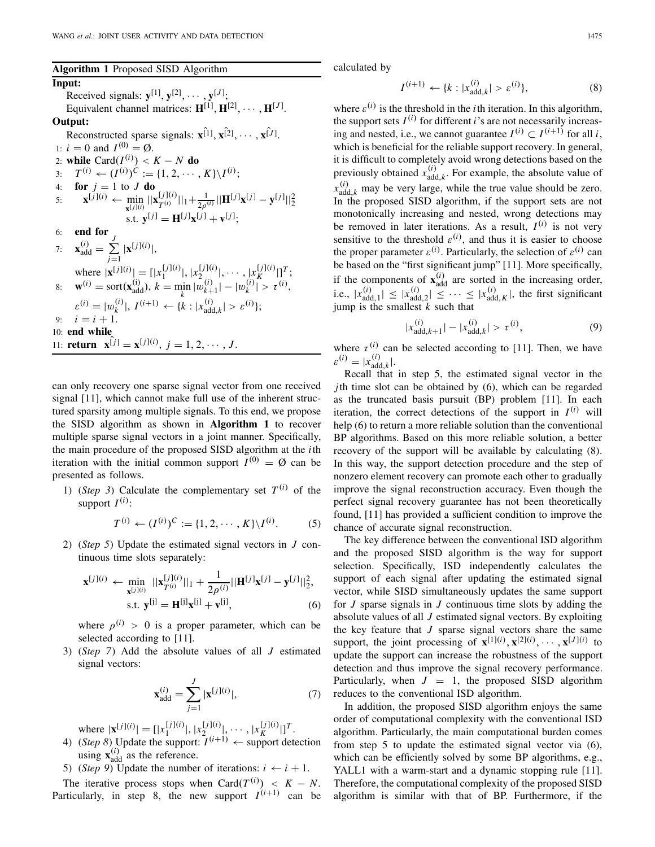## **Algorithm 1** Proposed SISD Algorithm

### **Input:**

Received signals:  $\mathbf{y}^{[1]}, \mathbf{y}^{[2]}, \cdots, \mathbf{y}^{[J]};$ Equivalent channel matrices:  $\mathbf{H}^{[1]}, \mathbf{H}^{[2]}, \cdots, \mathbf{H}^{[J]}$ . **Output:** Reconstructed sparse signals:  $\mathbf{x}^{[1]}, \mathbf{x}^{[2]}, \cdots, \mathbf{x}^{[J]}$ . 1:  $i = 0$  and  $I^{(0)} = \emptyset$ . 2: **while**  $\text{Card}(I^{(i)}) < K - N$  **do** 

3: 
$$
T^{(i)} \leftarrow (I^{(i)})^C := \{1, 2, \dots, K\} \setminus I^{(i)};
$$
  
\n4: **for**  $j = 1$  to  $J$  **do**  
\n5:  $\mathbf{x}^{[j](i)} \leftarrow \min_{\mathbf{x}^{[j]}(i)} ||\mathbf{x}^{[j](i)}||_1 + \frac{1}{2\rho^{(i)}} ||\mathbf{H}^{[j]} \mathbf{x}^{[j]} - \mathbf{y}^{[j]}||_2^2$ 

$$
\text{ s.t. } \mathbf{y}^{[j]} = \mathbf{H}^{[j]} \mathbf{x}^{[j]} + \mathbf{v}^{[j]};
$$
\n
$$
\text{ e. } \mathbf{H} \text{ for } \mathbf{H}^{[j]} \text{ for } \mathbf{H}^{[j]} \text{ for } \mathbf{H}^{[j]} \text{ for } \mathbf{H}^{[j]} \text{ for } \mathbf{H}^{[j]} \text{ for } \mathbf{H}^{[j]} \text{ for } \mathbf{H}^{[j]} \text{ for } \mathbf{H}^{[j]} \text{ for } \mathbf{H}^{[j]} \text{ for } \mathbf{H}^{[j]} \text{ for } \mathbf{H}^{[j]} \text{ for } \mathbf{H}^{[j]} \text{ for } \mathbf{H}^{[j]} \text{ for } \mathbf{H}^{[j]} \text{ for } \mathbf{H}^{[j]} \text{ for } \mathbf{H}^{[j]} \text{ for } \mathbf{H}^{[j]} \text{ for } \mathbf{H}^{[j]} \text{ for } \mathbf{H}^{[j]} \text{ for } \mathbf{H}^{[j]} \text{ for } \mathbf{H}^{[j]} \text{ for } \mathbf{H}^{[j]} \text{ for } \mathbf{H}^{[j]} \text{ for } \mathbf{H}^{[j]} \text{ for } \mathbf{H}^{[j]} \text{ for } \mathbf{H}^{[j]} \text{ for } \mathbf{H}^{[j]} \text{ for } \mathbf{H}^{[j]} \text{ for } \mathbf{H}^{[j]} \text{ for } \mathbf{H}^{[j]} \text{ for } \mathbf{H}^{[j]} \text{ for } \mathbf{H}^{[j]} \text{ for } \mathbf{H}^{[j]} \text{ for } \mathbf{H}^{[j]} \text{ for } \mathbf{H}^{[j]} \text{ for } \mathbf{H}^{[j]} \text{ for } \mathbf{H}^{[j]} \text{ for } \mathbf{H}^{[j]} \text{ for } \mathbf{H}^{[j]} \text{ for } \mathbf{H}^{[j]} \text{ for } \mathbf{H}^{[j]} \text{ for } \mathbf{H}^{[j]} \text{ for } \mathbf{H}^{[j]} \text{ for } \mathbf{H}^{[j]} \text{ for } \mathbf{H}^{[j]} \text{ for } \mathbf{H}^{[j]}
$$

7: 
$$
\mathbf{x}_{\text{add}}^{(i)} = \sum_{j=1}^{J} |\mathbf{x}^{[j](i)}|,
$$
  
\nwhere  $|\mathbf{x}^{[j](i)}| = [|\mathbf{x}_1^{[j](i)}|, |\mathbf{x}_2^{[j](i)}|, \dots, |\mathbf{x}_K^{[j](i)}|]^T;$   
\n8: 
$$
\mathbf{w}^{(i)} = \text{sort}(\mathbf{x}_{\text{add}}^{(i)}), k = \min_{k} |\omega_{k+1}^{(i)}| - |\omega_{k}^{(i)}| > \tau^{(i)},
$$
  
\n
$$
\varepsilon^{(i)} = |\omega_k^{(i)}|, I^{(i+1)} \leftarrow \{k : |\mathbf{x}_{\text{add},k}^{(i)}| > \varepsilon^{(i)}\};
$$
  
\n9:  $i = i + 1.$   
\n10: **end while**  
\n11: **return** 
$$
\mathbf{x}^{[j]} = \mathbf{x}^{[j](i)}, j = 1, 2, \dots, J.
$$

can only recovery one sparse signal vector from one received signal [11], which cannot make full use of the inherent structured sparsity among multiple signals. To this end, we propose the SISD algorithm as shown in **Algorithm 1** to recover multiple sparse signal vectors in a joint manner. Specifically, the main procedure of the proposed SISD algorithm at the *i*th iteration with the initial common support  $I^{(0)} = \emptyset$  can be presented as follows.

1) (*Step 3*) Calculate the complementary set  $T^{(i)}$  of the support  $I^{(i)}$ :

$$
T^{(i)} \leftarrow (I^{(i)})^C := \{1, 2, \cdots, K\} \backslash I^{(i)}.
$$
 (5)

2) (*Step 5*) Update the estimated signal vectors in *J* continuous time slots separately:

$$
\mathbf{x}^{[j](i)} \leftarrow \min_{\mathbf{x}^{[j](i)}} ||\mathbf{x}_{T^{(i)}}^{[j](i)}||_1 + \frac{1}{2\rho^{(i)}} ||\mathbf{H}^{[j]} \mathbf{x}^{[j]} - \mathbf{y}^{[j]}||_2^2, \text{s.t. } \mathbf{y}^{[j]} = \mathbf{H}^{[j]} \mathbf{x}^{[j]} + \mathbf{v}^{[j]},
$$
\n(6)

where  $\rho^{(i)} > 0$  is a proper parameter, which can be selected according to [11].

3) (*Step 7*) Add the absolute values of all *J* estimated signal vectors:

$$
\mathbf{x}_{\text{add}}^{(i)} = \sum_{j=1}^{J} |\mathbf{x}^{[j](i)}|,\tag{7}
$$

where  $|\mathbf{x}^{[j](i)}| = [ |x_1^{[j](i)}|, |x_2^{[j](i)}|, \cdots, |x_K^{[j](i)}| ]^T$ .

- 4) (*Step 8*) Update the support:  $I^{(i+1)} \leftarrow$  support detection using  $\mathbf{x}_{\text{add}}^{(i)}$  as the reference.
- 5) (*Step 9*) Update the number of iterations:  $i \leftarrow i + 1$ .

The iterative process stops when Card $(T^{(i)}) \leq K - N$ . Particularly, in step 8, the new support  $I^{(i+1)}$  can be calculated by

$$
I^{(i+1)} \leftarrow \{k : |x_{\text{add},k}^{(i)}| > \varepsilon^{(i)}\},\tag{8}
$$

where  $\varepsilon^{(i)}$  is the threshold in the *i*th iteration. In this algorithm, the support sets  $I^{(i)}$  for different *i*'s are not necessarily increasing and nested, i.e., we cannot guarantee  $I^{(i)} \subset I^{(i+1)}$  for all *i*. which is beneficial for the reliable support recovery. In general, it is difficult to completely avoid wrong detections based on the previously obtained  $x_{add,k}^{(i)}$ . For example, the absolute value of  $x_{\text{add},k}^{(i)}$  may be very large, while the true value should be zero. In the proposed SISD algorithm, if the support sets are not monotonically increasing and nested, wrong detections may be removed in later iterations. As a result,  $I^{(i)}$  is not very sensitive to the threshold  $\varepsilon^{(i)}$ , and thus it is easier to choose the proper parameter  $\varepsilon^{(i)}$ . Particularly, the selection of  $\varepsilon^{(i)}$  can be based on the "first significant jump" [11]. More specifically, if the components of  $\mathbf{x}_{\text{add}}^{(i)}$  are sorted in the increasing order, i.e.,  $|x_{\text{add},1}^{(i)}| \le |x_{\text{add},2}^{(i)}| \le \cdots \le |x_{\text{add},K}^{(i)}|$ , the first significant jump is the smallest *k* such that

$$
|x_{\text{add},k+1}^{(i)}| - |x_{\text{add},k}^{(i)}| > \tau^{(i)},\tag{9}
$$

where  $\tau^{(i)}$  can be selected according to [11]. Then, we have  $\varepsilon^{(i)} = |x_{\text{add},k}^{(i)}|$ .

Recall that in step 5, the estimated signal vector in the *j*th time slot can be obtained by (6), which can be regarded as the truncated basis pursuit (BP) problem [11]. In each iteration, the correct detections of the support in  $I^{(i)}$  will help (6) to return a more reliable solution than the conventional BP algorithms. Based on this more reliable solution, a better recovery of the support will be available by calculating (8). In this way, the support detection procedure and the step of nonzero element recovery can promote each other to gradually improve the signal reconstruction accuracy. Even though the perfect signal recovery guarantee has not been theoretically found, [11] has provided a sufficient condition to improve the chance of accurate signal reconstruction.

The key difference between the conventional ISD algorithm and the proposed SISD algorithm is the way for support selection. Specifically, ISD independently calculates the support of each signal after updating the estimated signal vector, while SISD simultaneously updates the same support for *J* sparse signals in *J* continuous time slots by adding the absolute values of all *J* estimated signal vectors. By exploiting the key feature that *J* sparse signal vectors share the same support, the joint processing of  $\mathbf{x}^{[1](i)}, \mathbf{x}^{[2](i)}, \cdots, \mathbf{x}^{[J](i)}$  to update the support can increase the robustness of the support detection and thus improve the signal recovery performance. Particularly, when  $J = 1$ , the proposed SISD algorithm reduces to the conventional ISD algorithm.

In addition, the proposed SISD algorithm enjoys the same order of computational complexity with the conventional ISD algorithm. Particularly, the main computational burden comes from step 5 to update the estimated signal vector via (6), which can be efficiently solved by some BP algorithms, e.g., YALL1 with a warm-start and a dynamic stopping rule [11]. Therefore, the computational complexity of the proposed SISD algorithm is similar with that of BP. Furthermore, if the